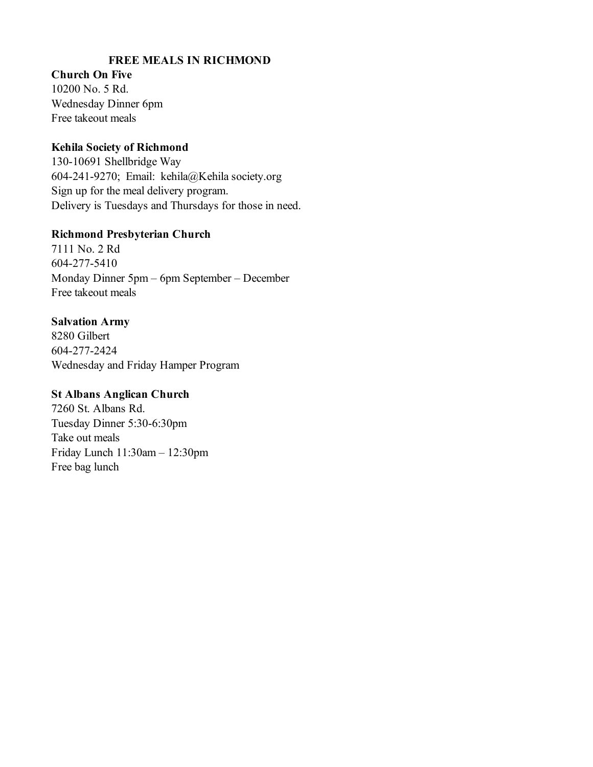## **FREE MEALS IN RICHMOND**

**Church On Five** 10200 No. 5 Rd. Wednesday Dinner 6pm Free takeout meals

#### **Kehila Society of Richmond**

130-10691 Shellbridge Way 604-241-9270; Email: kehila@Kehila society.org Sign up for the meal delivery program. Delivery is Tuesdays and Thursdays for those in need.

#### **Richmond Presbyterian Church**

7111 No. 2 Rd 604-277-5410 Monday Dinner 5pm – 6pm September – December Free takeout meals

#### **Salvation Army**

8280 Gilbert 604-277-2424 Wednesday and Friday Hamper Program

#### **St Albans Anglican Church**

7260 St. Albans Rd. Tuesday Dinner 5:30-6:30pm Take out meals Friday Lunch 11:30am – 12:30pm Free bag lunch